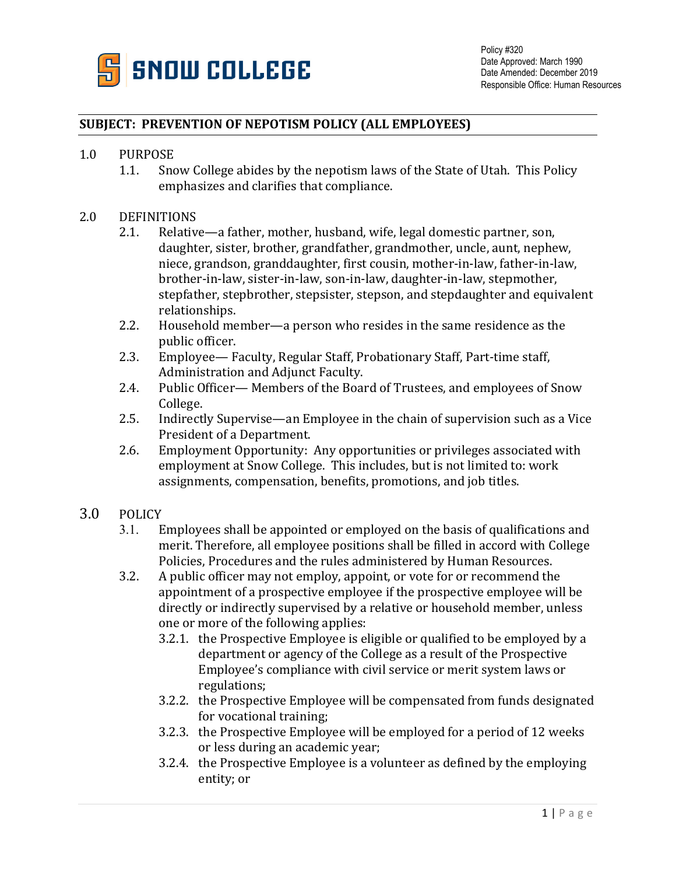

## **SUBJECT: PREVENTION OF NEPOTISM POLICY (ALL EMPLOYEES)**

## 1.0 PURPOSE<br>1.1. Sno

Snow College abides by the nepotism laws of the State of Utah. This Policy emphasizes and clarifies that compliance.

## 2.0 DEFINITIONS<br>2.1. Relativ

- Relative—a father, mother, husband, wife, legal domestic partner, son, daughter, sister, brother, grandfather, grandmother, uncle, aunt, nephew, niece, grandson, granddaughter, first cousin, mother-in-law, father-in-law, brother-in-law, sister-in-law, son-in-law, daughter-in-law, stepmother, stepfather, stepbrother, stepsister, stepson, and stepdaughter and equivalent relationships.
- 2.2. Household member—a person who resides in the same residence as the public officer.
- 2.3. Employee— Faculty, Regular Staff, Probationary Staff, Part-time staff, Administration and Adjunct Faculty.
- 2.4. Public Officer— Members of the Board of Trustees, and employees of Snow College.
- 2.5. Indirectly Supervise—an Employee in the chain of supervision such as a Vice President of a Department.
- 2.6. Employment Opportunity: Any opportunities or privileges associated with employment at Snow College. This includes, but is not limited to: work assignments, compensation, benefits, promotions, and job titles.

## 3.0 POLICY<br>3.1. E

- Employees shall be appointed or employed on the basis of qualifications and merit. Therefore, all employee positions shall be filled in accord with College Policies, Procedures and the rules administered by Human Resources.
- 3.2. A public officer may not employ, appoint, or vote for or recommend the appointment of a prospective employee if the prospective employee will be directly or indirectly supervised by a relative or household member, unless one or more of the following applies:
	- 3.2.1. the Prospective Employee is eligible or qualified to be employed by a department or agency of the College as a result of the Prospective Employee's compliance with civil service or merit system laws or regulations;
	- 3.2.2. the Prospective Employee will be compensated from funds designated for vocational training;
	- 3.2.3. the Prospective Employee will be employed for a period of 12 weeks or less during an academic year;
	- 3.2.4. the Prospective Employee is a volunteer as defined by the employing entity; or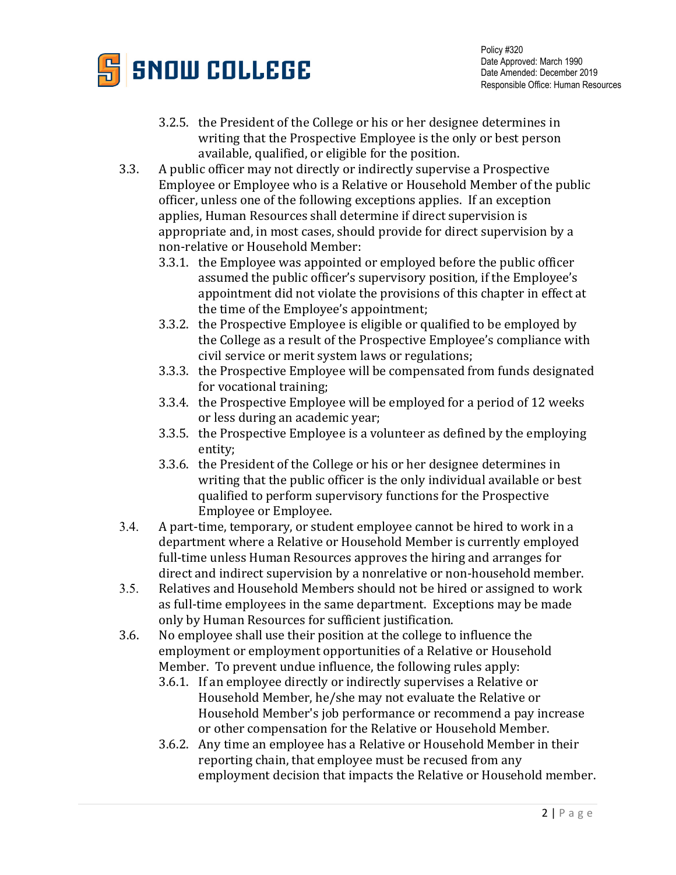

- 3.2.5. the President of the College or his or her designee determines in writing that the Prospective Employee is the only or best person available, qualified, or eligible for the position.
- 3.3. A public officer may not directly or indirectly supervise a Prospective Employee or Employee who is a Relative or Household Member of the public officer, unless one of the following exceptions applies. If an exception applies, Human Resources shall determine if direct supervision is appropriate and, in most cases, should provide for direct supervision by a non-relative or Household Member:
	- 3.3.1. the Employee was appointed or employed before the public officer assumed the public officer's supervisory position, if the Employee's appointment did not violate the provisions of this chapter in effect at the time of the Employee's appointment;
	- 3.3.2. the Prospective Employee is eligible or qualified to be employed by the College as a result of the Prospective Employee's compliance with civil service or merit system laws or regulations;
	- 3.3.3. the Prospective Employee will be compensated from funds designated for vocational training;
	- 3.3.4. the Prospective Employee will be employed for a period of 12 weeks or less during an academic year;
	- 3.3.5. the Prospective Employee is a volunteer as defined by the employing entity;
	- 3.3.6. the President of the College or his or her designee determines in writing that the public officer is the only individual available or best qualified to perform supervisory functions for the Prospective Employee or Employee.
- 3.4. A part-time, temporary, or student employee cannot be hired to work in a department where a Relative or Household Member is currently employed full-time unless Human Resources approves the hiring and arranges for direct and indirect supervision by a nonrelative or non-household member.
- 3.5. Relatives and Household Members should not be hired or assigned to work as full-time employees in the same department. Exceptions may be made only by Human Resources for sufficient justification.
- 3.6. No employee shall use their position at the college to influence the employment or employment opportunities of a Relative or Household Member. To prevent undue influence, the following rules apply:
	- 3.6.1. If an employee directly or indirectly supervises a Relative or Household Member, he/she may not evaluate the Relative or Household Member's job performance or recommend a pay increase or other compensation for the Relative or Household Member.
	- 3.6.2. Any time an employee has a Relative or Household Member in their reporting chain, that employee must be recused from any employment decision that impacts the Relative or Household member.